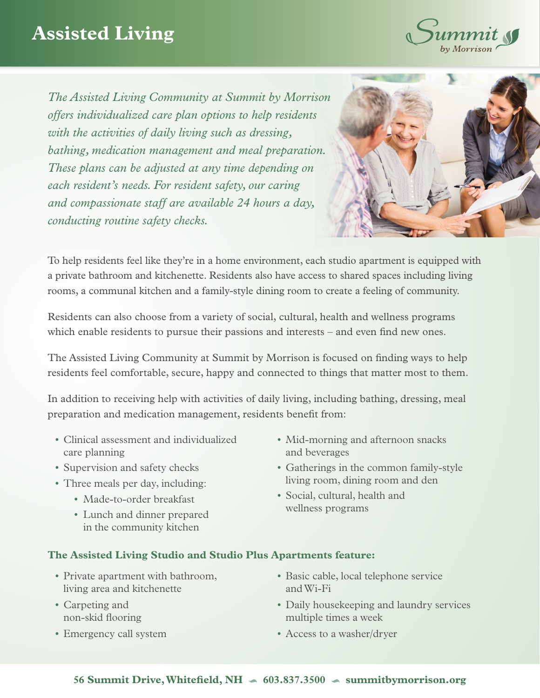## **Assisted Living**



*The Assisted Living Community at Summit by Morrison offers individualized care plan options to help residents with the activities of daily living such as dressing, bathing, medication management and meal preparation. These plans can be adjusted at any time depending on each resident's needs. For resident safety, our caring and compassionate staff are available 24 hours a day, conducting routine safety checks.*



To help residents feel like they're in a home environment, each studio apartment is equipped with a private bathroom and kitchenette. Residents also have access to shared spaces including living rooms, a communal kitchen and a family-style dining room to create a feeling of community.

Residents can also choose from a variety of social, cultural, health and wellness programs which enable residents to pursue their passions and interests – and even find new ones.

The Assisted Living Community at Summit by Morrison is focused on finding ways to help residents feel comfortable, secure, happy and connected to things that matter most to them.

In addition to receiving help with activities of daily living, including bathing, dressing, meal preparation and medication management, residents benefit from:

- Clinical assessment and individualized care planning
- Supervision and safety checks
- Three meals per day, including:
	- Made-to-order breakfast
	- Lunch and dinner prepared in the community kitchen
- Mid-morning and afternoon snacks and beverages
- Gatherings in the common family-style living room, dining room and den
- Social, cultural, health and wellness programs

## **The Assisted Living Studio and Studio Plus Apartments feature:**

- Private apartment with bathroom, living area and kitchenette
- Carpeting and non-skid flooring
- Emergency call system
- Basic cable, local telephone service and Wi-Fi
- Daily housekeeping and laundry services multiple times a week
- Access to a washer/dryer